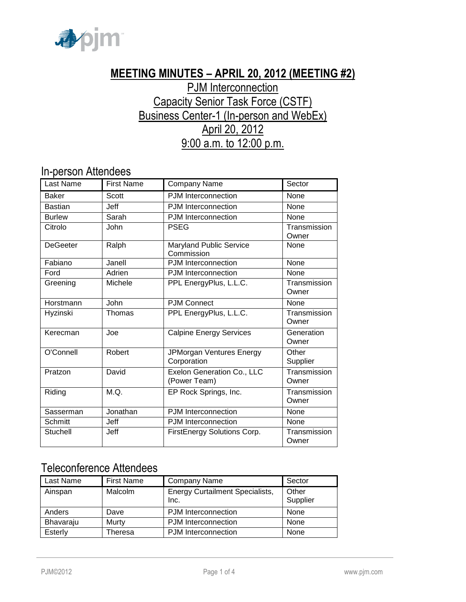

# **MEETING MINUTES – APRIL 20, 2012 (MEETING #2)**

# **PJM Interconnection** Capacity Senior Task Force (CSTF) Business Center-1 (In-person and WebEx) April 20, 2012 9:00 a.m. to 12:00 p.m.

## In-person Attendees

| <b>Last Name</b> | <b>First Name</b> | Company Name                               | Sector                |
|------------------|-------------------|--------------------------------------------|-----------------------|
| <b>Baker</b>     | Scott             | PJM Interconnection                        | None                  |
| <b>Bastian</b>   | <b>Jeff</b>       | <b>PJM</b> Interconnection                 | None                  |
| <b>Burlew</b>    | Sarah             | PJM Interconnection                        | None                  |
| Citrolo          | John              | <b>PSEG</b>                                | Transmission<br>Owner |
| <b>DeGeeter</b>  | Ralph             | Maryland Public Service<br>Commission      | None                  |
| Fabiano          | Janell            | PJM Interconnection                        | None                  |
| Ford             | Adrien            | PJM Interconnection                        | None                  |
| Greening         | Michele           | PPL EnergyPlus, L.L.C.                     | Transmission<br>Owner |
| Horstmann        | John              | <b>PJM Connect</b>                         | None                  |
| Hyzinski         | Thomas            | PPL EnergyPlus, L.L.C.                     | Transmission<br>Owner |
| Kerecman         | Joe               | <b>Calpine Energy Services</b>             | Generation<br>Owner   |
| O'Connell        | Robert            | JPMorgan Ventures Energy<br>Corporation    | Other<br>Supplier     |
| Pratzon          | David             | Exelon Generation Co., LLC<br>(Power Team) | Transmission<br>Owner |
| Riding           | M.Q.              | EP Rock Springs, Inc.                      | Transmission<br>Owner |
| Sasserman        | Jonathan          | PJM Interconnection                        | None                  |
| Schmitt          | Jeff              | <b>PJM</b> Interconnection                 | None                  |
| Stuchell         | Jeff              | FirstEnergy Solutions Corp.                | Transmission<br>Owner |

## Teleconference Attendees

| Last Name | <b>First Name</b> | <b>Company Name</b>                            | Sector            |
|-----------|-------------------|------------------------------------------------|-------------------|
| Ainspan   | <b>Malcolm</b>    | <b>Energy Curtailment Specialists,</b><br>Inc. | Other<br>Supplier |
| Anders    | Dave              | PJM Interconnection                            | None              |
| Bhavaraju | Murty             | PJM Interconnection                            | None              |
| Esterly   | Theresa           | <b>PJM</b> Interconnection                     | None              |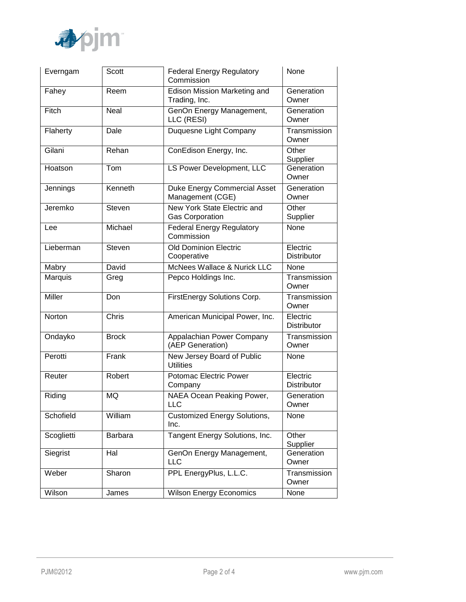

| Everngam      | <b>Scott</b> | <b>Federal Energy Regulatory</b><br>Commission          | None                           |
|---------------|--------------|---------------------------------------------------------|--------------------------------|
| Fahey         | Reem         | Edison Mission Marketing and<br>Trading, Inc.           | Generation<br>Owner            |
| Fitch         | Neal         | GenOn Energy Management,<br>LLC (RESI)                  | Generation<br>Owner            |
| Flaherty      | Dale         | Duquesne Light Company                                  | Transmission<br>Owner          |
| Gilani        | Rehan        | ConEdison Energy, Inc.                                  | Other<br>Supplier              |
| Hoatson       | Tom          | LS Power Development, LLC                               | Generation<br>Owner            |
| Jennings      | Kenneth      | <b>Duke Energy Commercial Asset</b><br>Management (CGE) | Generation<br>Owner            |
| Jeremko       | Steven       | New York State Electric and<br><b>Gas Corporation</b>   | Other<br>Supplier              |
| Lee           | Michael      | <b>Federal Energy Regulatory</b><br>Commission          | None                           |
| Lieberman     | Steven       | <b>Old Dominion Electric</b><br>Cooperative             | Electric<br><b>Distributor</b> |
| Mabry         | David        | McNees Wallace & Nurick LLC                             | None                           |
| Marquis       | Greg         | Pepco Holdings Inc.                                     | Transmission<br>Owner          |
| <b>Miller</b> | Don          | FirstEnergy Solutions Corp.                             | Transmission<br>Owner          |
| Norton        | Chris        | American Municipal Power, Inc.                          | Electric<br>Distributor        |
| Ondayko       | <b>Brock</b> | Appalachian Power Company<br>(AEP Generation)           | Transmission<br>Owner          |
| Perotti       | Frank        | New Jersey Board of Public<br><b>Utilities</b>          | None                           |
| Reuter        | Robert       | Potomac Electric Power<br>Company                       | Electric<br><b>Distributor</b> |
| Riding        | <b>MQ</b>    | <b>NAEA Ocean Peaking Power,</b><br><b>LLC</b>          | Generation<br>Owner            |
| Schofield     | William      | <b>Customized Energy Solutions,</b><br>Inc.             | None                           |
| Scoglietti    | Barbara      | Tangent Energy Solutions, Inc.                          | Other<br>Supplier              |
| Siegrist      | Hal          | GenOn Energy Management,<br><b>LLC</b>                  | Generation<br>Owner            |
| Weber         | Sharon       | PPL EnergyPlus, L.L.C.                                  | Transmission<br>Owner          |
| Wilson        | James        | <b>Wilson Energy Economics</b>                          | None                           |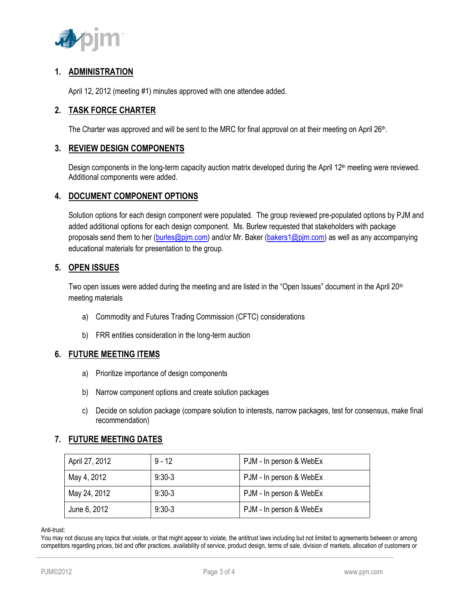

### **1. ADMINISTRATION**

April 12, 2012 (meeting #1) minutes approved with one attendee added.

### **2. TASK FORCE CHARTER**

The Charter was approved and will be sent to the MRC for final approval on at their meeting on April 26<sup>th</sup>.

#### **3. REVIEW DESIGN COMPONENTS**

Design components in the long-term capacity auction matrix developed during the April 12<sup>th</sup> meeting were reviewed. Additional components were added.

#### **4. DOCUMENT COMPONENT OPTIONS**

Solution options for each design component were populated. The group reviewed pre-populated options by PJM and added additional options for each design component. Ms. Burlew requested that stakeholders with package proposals send them to her [\(burles@pjm.com\)](mailto:burles@pjm.com) and/or Mr. Baker [\(bakers1@pjm.com\)](mailto:bakers1@pjm.com) as well as any accompanying educational materials for presentation to the group.

#### **5. OPEN ISSUES**

Two open issues were added during the meeting and are listed in the "Open Issues" document in the April 20<sup>th</sup> meeting materials

- a) Commodity and Futures Trading Commission (CFTC) considerations
- b) FRR entities consideration in the long-term auction

### **6. FUTURE MEETING ITEMS**

- a) Prioritize importance of design components
- b) Narrow component options and create solution packages
- c) Decide on solution package (compare solution to interests, narrow packages, test for consensus, make final recommendation)

### **7. FUTURE MEETING DATES**

| April 27, 2012 | $9 - 12$ | PJM - In person & WebEx |
|----------------|----------|-------------------------|
| May 4, 2012    | $9:30-3$ | PJM - In person & WebEx |
| May 24, 2012   | $9:30-3$ | PJM - In person & WebEx |
| June 6, 2012   | $9:30-3$ | PJM - In person & WebEx |

Anti-trust:

You may not discuss any topics that violate, or that might appear to violate, the antitrust laws including but not limited to agreements between or among competitors regarding prices, bid and offer practices, availability of service, product design, terms of sale, division of markets, allocation of customers or